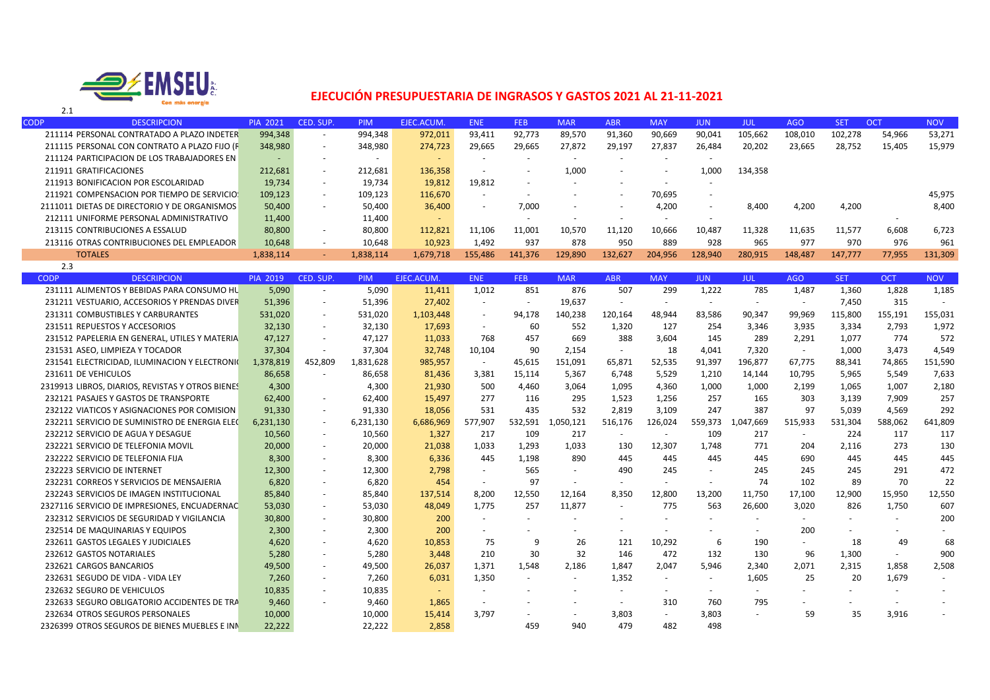

T

## **EJECUCIÓN PRESUPUESTARIA DE INGRASOS Y GASTOS 2021 AL 21‐11‐2021**

| <b>CODP</b> | <b>DESCRIPCION</b>                           | <b>PIA 2021</b> | CED. SUP.                | <b>PIM</b>               | EJEC.ACUM.               | <b>ENE</b>               | <b>FEB</b> | <b>MAR</b> | <b>ABR</b> | <b>MAY</b>               | <b>JUN</b> | JUL     | <b>AGO</b> | <b>SET</b> | <b>OCT</b> | <b>NOV</b> |
|-------------|----------------------------------------------|-----------------|--------------------------|--------------------------|--------------------------|--------------------------|------------|------------|------------|--------------------------|------------|---------|------------|------------|------------|------------|
|             | 211114 PERSONAL CONTRATADO A PLAZO INDETER   | 994,348         | $\sim$                   | 994,348                  | 972,011                  | 93,411                   | 92,773     | 89,570     | 91,360     | 90,669                   | 90,041     | 105,662 | 108,010    | 102,278    | 54,966     | 53,271     |
|             | 211115 PERSONAL CON CONTRATO A PLAZO FIJO (F | 348,980         | $\sim$                   | 348,980                  | 274,723                  | 29,665                   | 29,665     | 27.872     | 29,197     | 27,837                   | 26.484     | 20,202  | 23,665     | 28,752     | 15,405     | 15,979     |
|             | 211124 PARTICIPACION DE LOS TRABAJADORES EN  | $-$             |                          | $\overline{\phantom{a}}$ | $\overline{\phantom{0}}$ | $\overline{\phantom{a}}$ |            |            |            | $\overline{a}$           |            |         |            |            |            |            |
|             | 211911 GRATIFICACIONES                       | 212.681         | $\overline{\phantom{a}}$ | 212,681                  | 136,358                  | $\overline{\phantom{a}}$ |            | 1,000      |            |                          | 1.00       | 134,358 |            |            |            |            |
|             | 211913 BONIFICACION POR ESCOLARIDAD          | 19,734          | $\overline{\phantom{a}}$ | 19,734                   | 19,812                   | 19,812                   | $\sim$     |            |            | $\overline{\phantom{0}}$ |            |         |            |            |            |            |
|             | 211921 COMPENSACION POR TIEMPO DE SERVICIOS  | 109,123         | $\sim$                   | 109,123                  | 116,670                  | $\overline{\phantom{0}}$ |            |            |            | 70,695                   |            |         |            |            |            | 45,975     |
|             | 2111011 DIETAS DE DIRECTORIO Y DE ORGANISMOS | 50,400          | $\overline{\phantom{a}}$ | 50,400                   | 36,400                   | $\overline{\phantom{a}}$ | 7,000      |            |            | 4,200                    |            | 8,400   | 4,200      | 4,200      |            | 8,400      |
|             | 212111 UNIFORME PERSONAL ADMINISTRATIVO      | 11,400          |                          | 11,400                   | $\overline{\phantom{0}}$ |                          |            |            |            | $\overline{a}$           |            |         |            |            |            |            |
|             | 213115 CONTRIBUCIONES A ESSALUD              | 80.800          | $\overline{\phantom{0}}$ | 80.800                   | 112.821                  | 11,106                   | 11,001     | 10,570     | 11.120     | 10.666                   | 10.487     | 11.328  | 11.635     | 11.577     | 6.608      | 6.723      |
|             | 213116 OTRAS CONTRIBUCIONES DEL EMPLEADOR    | 10,648          |                          | 10.648                   | 10.923                   | 1.492                    | 937        | 878        | 950        | 889                      | 928        | 965     | 977        | 970        | 976        | 961        |
|             | <b>TOTALES</b>                               | 1,838,114       | $\sim$                   | 1,838,114                | 1,679,718                | 155.486                  | 141.376    | 129.890    | 132.627    | 204.956                  | 128.940    | 280,915 | 148.487    | 147.777    | 77,955     | 131,309    |
|             | 2 3                                          |                 |                          |                          |                          |                          |            |            |            |                          |            |         |            |            |            |            |

| د.ء                                              |                 |                          |            |            |                          |            |                          |                          |                          |                          |                          |                          |            |            |            |
|--------------------------------------------------|-----------------|--------------------------|------------|------------|--------------------------|------------|--------------------------|--------------------------|--------------------------|--------------------------|--------------------------|--------------------------|------------|------------|------------|
| <b>CODP</b><br><b>DESCRIPCION</b>                | <b>PIA 2019</b> | CED. SUP.                | <b>PIM</b> | EJEC.ACUM. | <b>ENE</b>               | <b>FEB</b> | <b>MAR</b>               | <b>ABR</b>               | <b>MAY</b>               | <b>JUN</b>               | <b>JUL</b>               | <b>AGO</b>               | <b>SET</b> | <b>OCT</b> | <b>NOV</b> |
| 231111 ALIMENTOS Y BEBIDAS PARA CONSUMO HU       | 5,090           | $\sim$                   | 5,090      | 11,411     | 1,012                    | 851        | 876                      | 507                      | 299                      | 1,222                    | 785                      | 1,487                    | 1,360      | 1,828      | 1,185      |
| 231211 VESTUARIO, ACCESORIOS Y PRENDAS DIVER     | 51,396          | $\sim$                   | 51,396     | 27,402     | $\overline{\phantom{a}}$ |            | 19,637                   | $\overline{\phantom{a}}$ | $\sim$                   |                          | $\overline{\phantom{a}}$ | $\overline{\phantom{a}}$ | 7.450      | 315        |            |
| 231311 COMBUSTIBLES Y CARBURANTES                | 531,020         | $\sim$                   | 531,020    | 1,103,448  | $\overline{\phantom{a}}$ | 94,178     | 140,238                  | 120,164                  | 48,944                   | 83,586                   | 90,347                   | 99,969                   | 115,800    | 155,191    | 155,031    |
| 231511 REPUESTOS Y ACCESORIOS                    | 32,130          | $\overline{\phantom{a}}$ | 32,130     | 17,693     | $\sim$                   | 60         | 552                      | 1,320                    | 127                      | 254                      | 3,346                    | 3,935                    | 3,334      | 2,793      | 1,972      |
| 231512 PAPELERIA EN GENERAL, UTILES Y MATERIA    | 47,127          | $\overline{\phantom{a}}$ | 47,127     | 11,033     | 768                      | 457        | 669                      | 388                      | 3.604                    | 145                      | 289                      | 2,291                    | 1,077      | 774        | 572        |
| 231531 ASEO, LIMPIEZA Y TOCADOR                  | 37,304          | $\overline{\phantom{a}}$ | 37,304     | 32,748     | 10,104                   | 90         | 2,154                    | $\sim$                   | 18                       | 4,041                    | 7,320                    | $\sim$                   | 1,000      | 3,473      | 4,549      |
| 231541 ELECTRICIDAD, ILUMINACION Y ELECTRONIC    | 1,378,819       | 452,809                  | 1,831,628  | 985,957    | $\overline{\phantom{a}}$ | 45,615     | 151,091                  | 65,871                   | 52,535                   | 91,397                   | 196,877                  | 67,775                   | 88,341     | 74,865     | 151,590    |
| 231611 DE VEHICULOS                              | 86,658          |                          | 86,658     | 81,436     | 3,381                    | 15.114     | 5.367                    | 6,748                    | 5,529                    | 1,210                    | 14,144                   | 10,795                   | 5,965      | 5,549      | 7,633      |
| 2319913 LIBROS, DIARIOS, REVISTAS Y OTROS BIENES | 4,300           |                          | 4,300      | 21,930     | 500                      | 4,460      | 3,064                    | 1,095                    | 4,360                    | 1,000                    | 1,000                    | 2,199                    | 1,065      | 1,007      | 2,180      |
| 232121 PASAJES Y GASTOS DE TRANSPORTE            | 62,400          | $\sim$                   | 62,400     | 15,497     | 277                      | 116        | 295                      | 1,523                    | 1,256                    | 257                      | 165                      | 303                      | 3,139      | 7,909      | 257        |
| 232122 VIATICOS Y ASIGNACIONES POR COMISION      | 91,330          | $\sim$                   | 91,330     | 18,056     | 531                      | 435        | 532                      | 2,819                    | 3,109                    | 247                      | 387                      | 97                       | 5,039      | 4,569      | 292        |
| 232211 SERVICIO DE SUMINISTRO DE ENERGIA ELEC    | 6,231,130       | $\sim$                   | 6,231,130  | 6,686,969  | 577,907                  | 532,591    | 1,050,121                | 516,176                  | 126,024                  | 559,373                  | 1.047.669                | 515,933                  | 531,304    | 588,062    | 641,809    |
| 232212 SERVICIO DE AGUA Y DESAGUE                | 10,560          | $\sim$                   | 10,560     | 1,327      | 217                      | 109        | 217                      | $\overline{\phantom{a}}$ | $\overline{\phantom{a}}$ | 109                      | 217                      | $\sim$                   | 224        | 117        | 117        |
| 232221 SERVICIO DE TELEFONIA MOVIL               | 20,000          | $\sim$                   | 20,000     | 21,038     | 1,033                    | 1,293      | 1,033                    | 130                      | 12,307                   | 1,748                    | 771                      | 204                      | 2,116      | 273        | 130        |
| 232222 SERVICIO DE TELEFONIA FIJA                | 8,300           | $\sim$                   | 8.300      | 6,336      | 445                      | 1,198      | 890                      | 445                      | 445                      | 445                      | 445                      | 690                      | 445        | 445        | 445        |
| 232223 SERVICIO DE INTERNET                      | 12,300          | $\sim$                   | 12,300     | 2,798      | $\sim$                   | 565        | $\sim$                   | 490                      | 245                      |                          | 245                      | 245                      | 245        | 291        | 472        |
| 232231 CORREOS Y SERVICIOS DE MENSAJERIA         | 6,820           | $\sim$                   | 6,820      | 454        | $\overline{\phantom{a}}$ | 97         | $\overline{\phantom{a}}$ | $\sim$                   | $\overline{\phantom{a}}$ |                          | 74                       | 102                      | 89         | 70         | 22         |
| 232243 SERVICIOS DE IMAGEN INSTITUCIONAL         | 85,840          | $\sim$                   | 85,840     | 137,514    | 8,200                    | 12,550     | 12,164                   | 8.350                    | 12,800                   | 13,200                   | 11,750                   | 17,100                   | 12,900     | 15,950     | 12,550     |
| 2327116 SERVICIO DE IMPRESIONES, ENCUADERNAC     | 53,030          | $\sim$                   | 53,030     | 48,049     | 1,775                    | 257        | 11,877                   | $\sim$                   | 775                      | 563                      | 26,600                   | 3,020                    | 826        | 1,750      | 607        |
| 232312 SERVICIOS DE SEGURIDAD Y VIGILANCIA       | 30,800          | $\sim$                   | 30,800     | 200        | $\sim$                   |            | $\overline{\phantom{a}}$ | $\overline{\phantom{a}}$ |                          |                          | $\overline{\phantom{a}}$ |                          | $\sim$     |            | 200        |
| 232514 DE MAQUINARIAS Y EQUIPOS                  | 2,300           | $\sim$                   | 2,300      | 200        | $\sim$                   |            |                          |                          |                          |                          | $\overline{\phantom{a}}$ | 200                      |            |            |            |
| 232611 GASTOS LEGALES Y JUDICIALES               | 4,620           | $\sim$                   | 4.620      | 10,853     | 75                       | 9          | 26                       | 121                      | 10,292                   | 6                        | 190                      | $\sim$                   | 18         | 49         | 68         |
| 232612 GASTOS NOTARIALES                         | 5,280           | $\sim$                   | 5.280      | 3,448      | 210                      | 30         | 32                       | 146                      | 472                      | 132                      | 130                      | 96                       | 1,300      | $\sim$     | 900        |
| 232621 CARGOS BANCARIOS                          | 49,500          | $\sim$                   | 49,500     | 26,037     | 1,371                    | 1,548      | 2,186                    | 1,847                    | 2,047                    | 5,946                    | 2,340                    | 2,071                    | 2,315      | 1,858      | 2,508      |
| 232631 SEGUDO DE VIDA - VIDA LEY                 | 7,260           | $\sim$                   | 7,260      | 6,031      | 1,350                    |            | $\overline{\phantom{a}}$ | 1,352                    | $\sim$                   | $\overline{\phantom{a}}$ | 1,605                    | 25                       | 20         | 1,679      |            |
| 232632 SEGURO DE VEHICULOS                       | 10,835          | $\sim$                   | 10,835     |            |                          |            |                          |                          |                          |                          |                          |                          |            |            |            |
| 232633 SEGURO OBLIGATORIO ACCIDENTES DE TRA      | 9,460           |                          | 9,460      | 1,865      |                          |            | $\overline{\phantom{a}}$ | $\overline{\phantom{a}}$ | 310                      | 760                      | 795                      |                          |            |            |            |
| 232634 OTROS SEGUROS PERSONALES                  | 10,000          |                          | 10,000     | 15,414     | 3,797                    |            | $\overline{\phantom{a}}$ | 3,803                    | $\sim$                   | 3,803                    |                          | 59                       | 35         | 3,916      |            |
| 2326399 OTROS SEGUROS DE BIENES MUEBLES E INN    | 22,222          |                          | 22,222     | 2,858      |                          | 459        | 940                      | 479                      | 482                      | 498                      |                          |                          |            |            |            |